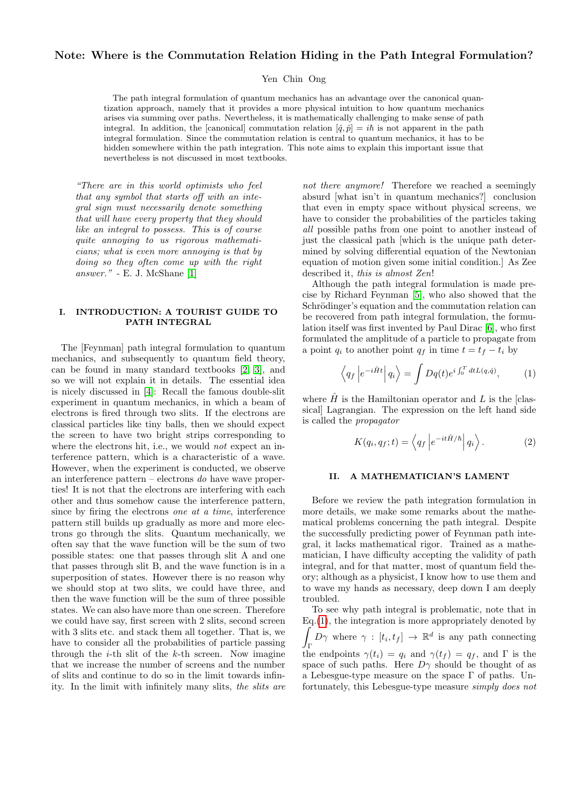# Note: Where is the Commutation Relation Hiding in the Path Integral Formulation?

Yen Chin Ong

The path integral formulation of quantum mechanics has an advantage over the canonical quantization approach, namely that it provides a more physical intuition to how quantum mechanics arises via summing over paths. Nevertheless, it is mathematically challenging to make sense of path integral. In addition, the [canonical] commutation relation  $[\hat{q}, \hat{p}] = i\hbar$  is not apparent in the path integral formulation. Since the commutation relation is central to quantum mechanics, it has to be hidden somewhere within the path integration. This note aims to explain this important issue that nevertheless is not discussed in most textbooks.

"There are in this world optimists who feel that any symbol that starts off with an integral sign must necessarily denote something that will have every property that they should like an integral to possess. This is of course quite annoying to us rigorous mathematicians; what is even more annoying is that by doing so they often come up with the right answer." - E. J. McShane  $[1]$ 

### I. INTRODUCTION: A TOURIST GUIDE TO PATH INTEGRAL

The [Feynman] path integral formulation to quantum mechanics, and subsequently to quantum field theory, can be found in many standard textbooks [\[2,](#page-4-1) [3\]](#page-4-2), and so we will not explain it in details. The essential idea is nicely discussed in [\[4\]](#page-4-3): Recall the famous double-slit experiment in quantum mechanics, in which a beam of electrons is fired through two slits. If the electrons are classical particles like tiny balls, then we should expect the screen to have two bright strips corresponding to where the electrons hit, i.e., we would *not* expect an interference pattern, which is a characteristic of a wave. However, when the experiment is conducted, we observe an interference pattern – electrons do have wave properties! It is not that the electrons are interfering with each other and thus somehow cause the interference pattern, since by firing the electrons one at a time, interference pattern still builds up gradually as more and more electrons go through the slits. Quantum mechanically, we often say that the wave function will be the sum of two possible states: one that passes through slit A and one that passes through slit B, and the wave function is in a superposition of states. However there is no reason why we should stop at two slits, we could have three, and then the wave function will be the sum of three possible states. We can also have more than one screen. Therefore we could have say, first screen with 2 slits, second screen with 3 slits etc. and stack them all together. That is, we have to consider all the probabilities of particle passing through the  $i$ -th slit of the  $k$ -th screen. Now imagine that we increase the number of screens and the number of slits and continue to do so in the limit towards infinity. In the limit with infinitely many slits, the slits are

not there anymore! Therefore we reached a seemingly absurd [what isn't in quantum mechanics?] conclusion that even in empty space without physical screens, we have to consider the probabilities of the particles taking all possible paths from one point to another instead of just the classical path [which is the unique path determined by solving differential equation of the Newtonian equation of motion given some initial condition.] As Zee described it, this is almost Zen!

Although the path integral formulation is made precise by Richard Feynman [\[5\]](#page-4-4), who also showed that the Schrödinger's equation and the commutation relation can be recovered from path integral formulation, the formulation itself was first invented by Paul Dirac [\[6\]](#page-4-5), who first formulated the amplitude of a particle to propagate from a point  $q_i$  to another point  $q_f$  in time  $t = t_f - t_i$  by

<span id="page-0-0"></span>
$$
\left\langle q_f \left| e^{-i\hat{H}t} \right| q_i \right\rangle = \int Dq(t) e^{i \int_0^T dt L(q, \dot{q})}, \quad (1)
$$

where  $\hat{H}$  is the Hamiltonian operator and L is the [classical] Lagrangian. The expression on the left hand side is called the propagator

$$
K(q_i, q_f; t) = \left\langle q_f \left| e^{-it\hat{H}/\hbar} \right| q_i \right\rangle. \tag{2}
$$

#### II. A MATHEMATICIAN'S LAMENT

Before we review the path integration formulation in more details, we make some remarks about the mathematical problems concerning the path integral. Despite the successfully predicting power of Feynman path integral, it lacks mathematical rigor. Trained as a mathematician, I have difficulty accepting the validity of path integral, and for that matter, most of quantum field theory; although as a physicist, I know how to use them and to wave my hands as necessary, deep down I am deeply troubled.

To see why path integral is problematic, note that in  $Eq.(1)$  $Eq.(1)$ , the integration is more appropriately denoted by Z  $\int_D D\gamma$  where  $\gamma : [t_i, t_f] \to \mathbb{R}^d$  is any path connecting the endpoints  $\gamma(t_i) = q_i$  and  $\gamma(t_f) = q_f$ , and  $\Gamma$  is the space of such paths. Here  $D\gamma$  should be thought of as a Lebesgue-type measure on the space  $\Gamma$  of paths. Unfortunately, this Lebesgue-type measure simply does not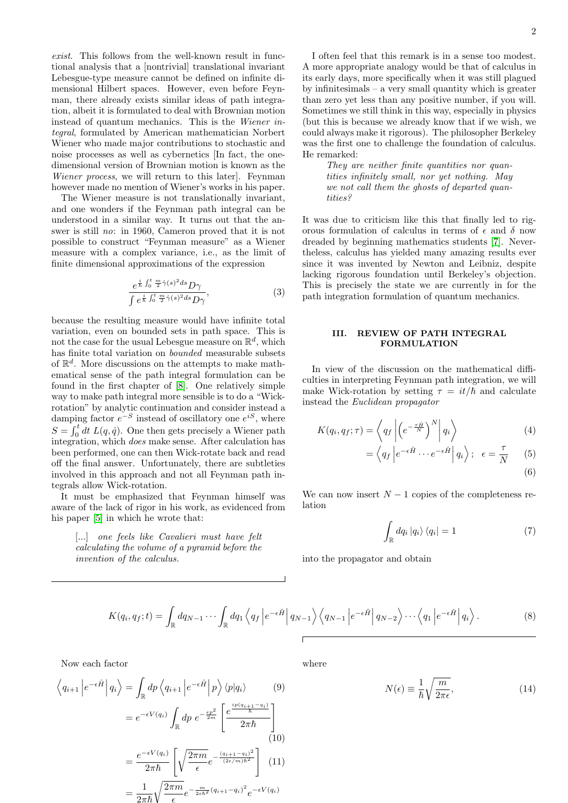exist. This follows from the well-known result in functional analysis that a [nontrivial] translational invariant Lebesgue-type measure cannot be defined on infinite dimensional Hilbert spaces. However, even before Feynman, there already exists similar ideas of path integration, albeit it is formulated to deal with Brownian motion instead of quantum mechanics. This is the Wiener integral, formulated by American mathematician Norbert Wiener who made major contributions to stochastic and noise processes as well as cybernetics [In fact, the onedimensional version of Brownian motion is known as the Wiener process, we will return to this later. Feynman however made no mention of Wiener's works in his paper.

The Wiener measure is not translationally invariant, and one wonders if the Feynman path integral can be understood in a similar way. It turns out that the answer is still no: in 1960, Cameron proved that it is not possible to construct "Feynman measure" as a Wiener measure with a complex variance, i.e., as the limit of finite dimensional approximations of the expression

$$
\frac{e^{\frac{i}{\hbar}\int_0^t \frac{m}{2}\dot{\gamma}(s)^2 ds} D\gamma}{\int e^{\frac{i}{\hbar}\int_0^t \frac{m}{2}\dot{\gamma}(s)^2 ds} D\gamma},\tag{3}
$$

because the resulting measure would have infinite total variation, even on bounded sets in path space. This is not the case for the usual Lebesgue measure on  $\mathbb{R}^d$ , which has finite total variation on bounded measurable subsets of  $\mathbb{R}^d$ . More discussions on the attempts to make mathematical sense of the path integral formulation can be found in the first chapter of [\[8\]](#page-4-6). One relatively simple way to make path integral more sensible is to do a "Wickrotation" by analytic continuation and consider instead a damping factor  $e^{-S}$  instead of oscillatory one  $e^{iS}$ , where  $S = \int_0^t dt L(q, \dot{q})$ . One then gets precisely a Wiener path integration, which does make sense. After calculation has been performed, one can then Wick-rotate back and read off the final answer. Unfortunately, there are subtleties involved in this approach and not all Feynman path integrals allow Wick-rotation.

It must be emphasized that Feynman himself was aware of the lack of rigor in his work, as evidenced from his paper [\[5\]](#page-4-4) in which he wrote that:

> [...] one feels like Cavalieri must have felt calculating the volume of a pyramid before the invention of the calculus.

I often feel that this remark is in a sense too modest. A more appropriate analogy would be that of calculus in its early days, more specifically when it was still plagued by infinitesimals – a very small quantity which is greater than zero yet less than any positive number, if you will. Sometimes we still think in this way, especially in physics (but this is because we already know that if we wish, we could always make it rigorous). The philosopher Berkeley was the first one to challenge the foundation of calculus. He remarked:

> They are neither finite quantities nor quantities infinitely small, nor yet nothing. May we not call them the ghosts of departed quantities?

It was due to criticism like this that finally led to rigorous formulation of calculus in terms of  $\epsilon$  and  $\delta$  now dreaded by beginning mathematics students [\[7\]](#page-4-7). Nevertheless, calculus has yielded many amazing results ever since it was invented by Newton and Leibniz, despite lacking rigorous foundation until Berkeley's objection. This is precisely the state we are currently in for the path integration formulation of quantum mechanics.

#### III. REVIEW OF PATH INTEGRAL FORMULATION

In view of the discussion on the mathematical difficulties in interpreting Feynman path integration, we will make Wick-rotation by setting  $\tau = it/\hbar$  and calculate instead the Euclidean propagator

$$
K(q_i, q_f; \tau) = \left\langle q_f \left| \left( e^{-\frac{\tau \hat{H}}{N}} \right)^N \right| q_i \right\rangle \tag{4}
$$

$$
= \left\langle q_f \left| e^{-\epsilon \hat{H}} \cdots e^{-\epsilon \hat{H}} \right| q_i \right\rangle; \quad \epsilon = \frac{\tau}{N} \qquad (5)
$$

We can now insert  $N-1$  copies of the completeness relation

$$
\int_{\mathbb{R}} dq_i |q_i\rangle \langle q_i| = 1
$$
\n(7)

into the propagator and obtain

$$
K(q_i, q_f; t) = \int_{\mathbb{R}} dq_{N-1} \cdots \int_{\mathbb{R}} dq_1 \left\langle q_f \left| e^{-\epsilon \hat{H}} \right| q_{N-1} \right\rangle \left\langle q_{N-1} \left| e^{-\epsilon \hat{H}} \right| q_{N-2} \right\rangle \cdots \left\langle q_1 \left| e^{-\epsilon \hat{H}} \right| q_i \right\rangle.
$$
 (8)

Now each factor

$$
\left\langle q_{i+1} \left| e^{-\epsilon \hat{H}} \right| q_i \right\rangle = \int_{\mathbb{R}} dp \left\langle q_{i+1} \left| e^{-\epsilon \hat{H}} \right| p \right\rangle \langle p | q_i \rangle \qquad (9)
$$

$$
= e^{-\epsilon V(q_i)} \int_{\mathbb{R}} dp \ e^{-\frac{\epsilon p^2}{2m}} \left[ \frac{e^{\frac{ip(q_{i+1}-q_i)}{\hbar}}}{2\pi\hbar} \right] \qquad (10)
$$

$$
= \frac{e^{-\epsilon V(q_i)}}{2\pi\hbar} \left[ \sqrt{\frac{2\pi m}{\epsilon}} e^{-\frac{(q_{i+1}-q_i)^2}{(2\epsilon/m)\hbar^2}} \right] \qquad (11)
$$

$$
= \frac{1}{2\pi\hbar} \sqrt{\frac{2\pi m}{\epsilon}} e^{-\frac{m}{2\epsilon\hbar^2} (q_{i+1}-q_i)^2} e^{-\epsilon V(q_i)}
$$

where

$$
N(\epsilon) \equiv \frac{1}{\hbar} \sqrt{\frac{m}{2\pi\epsilon}},\tag{14}
$$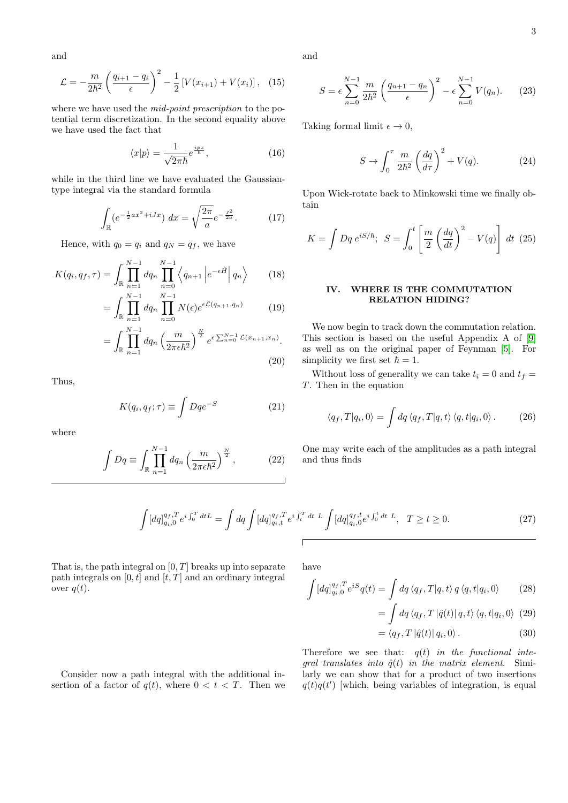3

and

$$
\mathcal{L} = -\frac{m}{2\hbar^2} \left( \frac{q_{i+1} - q_i}{\epsilon} \right)^2 - \frac{1}{2} \left[ V(x_{i+1}) + V(x_i) \right], \quad (15)
$$

where we have used the *mid-point prescription* to the potential term discretization. In the second equality above we have used the fact that

$$
\langle x|p\rangle = \frac{1}{\sqrt{2\pi\hbar}}e^{\frac{ipx}{\hbar}},\tag{16}
$$

while in the third line we have evaluated the Gaussiantype integral via the standard formula

$$
\int_{\mathbb{R}} (e^{-\frac{1}{2}ax^2 + iJx}) \, dx = \sqrt{\frac{2\pi}{a}} e^{-\frac{J^2}{2a}}. \tag{17}
$$

Hence, with  $q_0 = q_i$  and  $q_N = q_f$ , we have

$$
K(q_i, q_f, \tau) = \int_{\mathbb{R}} \prod_{n=1}^{N-1} dq_n \prod_{n=0}^{N-1} \left\langle q_{n+1} \left| e^{-\epsilon \hat{H}} \right| q_n \right\rangle \tag{18}
$$

$$
= \int_{\mathbb{R}} \prod_{n=1}^{N-1} dq_n \prod_{n=0}^{N-1} N(\epsilon) e^{\epsilon \mathcal{L}(q_{n+1}, q_n)}
$$
(19)

$$
= \int_{\mathbb{R}} \prod_{n=1}^{N-1} dq_n \left(\frac{m}{2\pi \epsilon \hbar^2}\right)^{\frac{N}{2}} e^{\epsilon \sum_{n=0}^{N-1} \mathcal{L}(x_{n+1}, x_n)}.
$$
\n(20)

Thus,

$$
K(q_i, q_f; \tau) \equiv \int Dqe^{-S} \tag{21}
$$

where

$$
\int Dq \equiv \int_{\mathbb{R}} \prod_{n=1}^{N-1} dq_n \left(\frac{m}{2\pi \epsilon \hbar^2}\right)^{\frac{N}{2}},\qquad (22)
$$

and

$$
S = \epsilon \sum_{n=0}^{N-1} \frac{m}{2\hbar^2} \left( \frac{q_{n+1} - q_n}{\epsilon} \right)^2 - \epsilon \sum_{n=0}^{N-1} V(q_n).
$$
 (23)

Taking formal limit  $\epsilon \to 0$ ,

$$
S \to \int_0^\tau \frac{m}{2\hbar^2} \left(\frac{dq}{d\tau}\right)^2 + V(q). \tag{24}
$$

Upon Wick-rotate back to Minkowski time we finally obtain

$$
K = \int Dq \, e^{iS/\hbar}; \, S = \int_0^t \left[ \frac{m}{2} \left( \frac{dq}{dt} \right)^2 - V(q) \right] dt \tag{25}
$$

## IV. WHERE IS THE COMMUTATION RELATION HIDING?

We now begin to track down the commutation relation. This section is based on the useful Appendix A of [\[9\]](#page-5-0) as well as on the original paper of Feynman [\[5\]](#page-4-4). For simplicity we first set  $\hbar = 1$ .

Without loss of generality we can take  $t_i = 0$  and  $t_f =$ T. Then in the equation

$$
\langle q_f, T | q_i, 0 \rangle = \int dq \langle q_f, T | q, t \rangle \langle q, t | q_i, 0 \rangle. \tag{26}
$$

One may write each of the amplitudes as a path integral and thus finds

$$
\int [dq]_{q_i,0}^{q_f,T} e^{i \int_0^T dt} = \int dq \int [dq]_{q_i,t}^{q_f,T} e^{i \int_t^T dt} \, L \int [dq]_{q_i,0}^{q_f,t} e^{i \int_0^t dt} \, L, \quad T \ge t \ge 0. \tag{27}
$$

That is, the path integral on  $[0, T]$  breaks up into separate path integrals on  $[0, t]$  and  $[t, T]$  and an ordinary integral over  $q(t)$ .

have

$$
\int [dq]_{q_i,0}^{q_f,T} e^{iS} q(t) = \int dq \langle q_f, T | q, t \rangle q \langle q, t | q_i, 0 \rangle \tag{28}
$$

$$
= \int dq \langle q_f, T | \hat{q}(t) | q, t \rangle \langle q, t | q_i, 0 \rangle \tag{29}
$$

$$
= \langle q_f, T | \hat{q}(t) | q_i, 0 \rangle. \tag{30}
$$

Therefore we see that:  $q(t)$  in the functional integral translates into  $\hat{q}(t)$  in the matrix element. Similarly we can show that for a product of two insertions  $q(t)q(t')$  which, being variables of integration, is equal

Consider now a path integral with the additional insertion of a factor of  $q(t)$ , where  $0 < t < T$ . Then we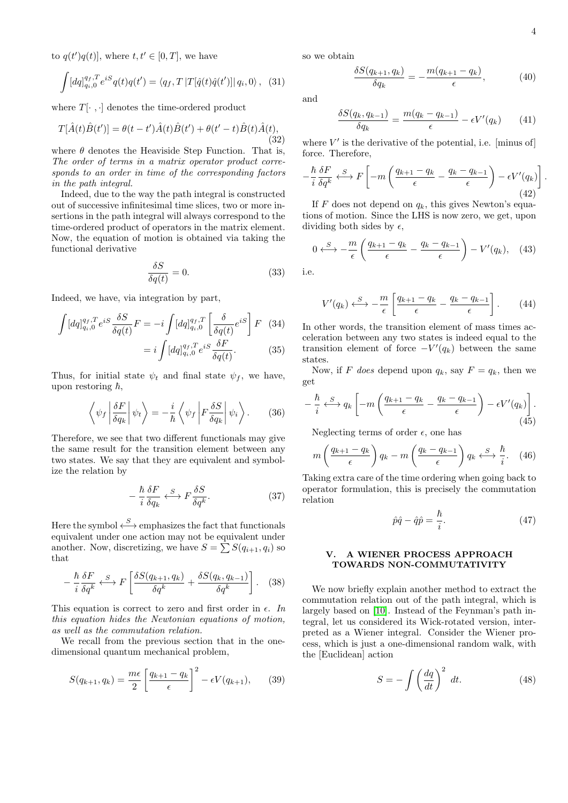to  $q(t')q(t)$ , where  $t, t' \in [0, T]$ , we have

$$
\int [dq]_{q_i,0}^{q_f,T} e^{iS} q(t)q(t') = \langle q_f, T | T[\hat{q}(t)\hat{q}(t')] | q_i, 0 \rangle, (31)
$$

where  $T[\cdot, \cdot]$  denotes the time-ordered product

$$
T[\hat{A}(t)\hat{B}(t')] = \theta(t - t')\hat{A}(t)\hat{B}(t') + \theta(t' - t)\hat{B}(t)\hat{A}(t),
$$
\n(32)

where  $\theta$  denotes the Heaviside Step Function. That is, The order of terms in a matrix operator product corresponds to an order in time of the corresponding factors in the path integral.

Indeed, due to the way the path integral is constructed out of successive infinitesimal time slices, two or more insertions in the path integral will always correspond to the time-ordered product of operators in the matrix element. Now, the equation of motion is obtained via taking the functional derivative

$$
\frac{\delta S}{\delta q(t)} = 0.\t(33)
$$

Indeed, we have, via integration by part,

$$
\int [dq]_{q_i,0}^{q_f,T} e^{iS} \frac{\delta S}{\delta q(t)} F = -i \int [dq]_{q_i,0}^{q_f,T} \left[ \frac{\delta}{\delta q(t)} e^{iS} \right] F \quad (34)
$$

$$
= i \int [dq]_{q_i,0}^{q_f,T} e^{iS} \frac{\delta F}{\delta q(t)}.
$$
(35)

Thus, for initial state  $\psi_t$  and final state  $\psi_f$ , we have, upon restoring  $\hbar$ ,

$$
\left\langle \psi_f \left| \frac{\delta F}{\delta q_k} \right| \psi_t \right\rangle = -\frac{i}{\hbar} \left\langle \psi_f \left| F \frac{\delta S}{\delta q_k} \right| \psi_i \right\rangle. \tag{36}
$$

Therefore, we see that two different functionals may give the same result for the transition element between any two states. We say that they are equivalent and symbolize the relation by

$$
-\frac{\hbar}{i}\frac{\delta F}{\delta q_k} \xleftrightarrow{S} F \frac{\delta S}{\delta q^k}.
$$
 (37)

Here the symbol  $\xleftarrow{S}$  emphasizes the fact that functionals equivalent under one action may not be equivalent under another. Now, discretizing, we have  $S = \sum S(q_{i+1}, q_i)$  so that

$$
-\frac{\hbar}{i}\frac{\delta F}{\delta q^k} \stackrel{S}{\longleftrightarrow} F\left[\frac{\delta S(q_{k+1}, q_k)}{\delta q^k} + \frac{\delta S(q_k, q_{k-1})}{\delta q^k}\right]. \quad (38)
$$

This equation is correct to zero and first order in  $\epsilon$ . In this equation hides the Newtonian equations of motion, as well as the commutation relation.

We recall from the previous section that in the onedimensional quantum mechanical problem,

$$
S(q_{k+1}, q_k) = \frac{m\epsilon}{2} \left[ \frac{q_{k+1} - q_k}{\epsilon} \right]^2 - \epsilon V(q_{k+1}), \quad (39)
$$

so we obtain

$$
\frac{\delta S(q_{k+1}, q_k)}{\delta q_k} = -\frac{m(q_{k+1} - q_k)}{\epsilon},\tag{40}
$$

and

$$
\frac{\delta S(q_k, q_{k-1})}{\delta q_k} = \frac{m(q_k - q_{k-1})}{\epsilon} - \epsilon V'(q_k) \tag{41}
$$

where  $V'$  is the derivative of the potential, i.e. [minus of] force. Therefore,

$$
-\frac{\hbar}{i}\frac{\delta F}{\delta q^k} \stackrel{S}{\longleftrightarrow} F\left[-m\left(\frac{q_{k+1}-q_k}{\epsilon} - \frac{q_k-q_{k-1}}{\epsilon}\right) - \epsilon V'(q_k)\right] \tag{42}
$$

If F does not depend on  $q_k$ , this gives Newton's equations of motion. Since the LHS is now zero, we get, upon dividing both sides by  $\epsilon$ ,

$$
0 \leftrightarrow \frac{\pi}{\epsilon} \left( \frac{q_{k+1} - q_k}{\epsilon} - \frac{q_k - q_{k-1}}{\epsilon} \right) - V'(q_k), \quad (43)
$$

i.e.

$$
V'(q_k) \leftrightarrow -\frac{m}{\epsilon} \left[ \frac{q_{k+1} - q_k}{\epsilon} - \frac{q_k - q_{k-1}}{\epsilon} \right]. \tag{44}
$$

In other words, the transition element of mass times acceleration between any two states is indeed equal to the transition element of force  $-V'(q_k)$  between the same states.

Now, if F does depend upon  $q_k$ , say  $F = q_k$ , then we get

$$
-\frac{\hbar}{i} \xleftarrow{S} q_k \left[ -m \left( \frac{q_{k+1} - q_k}{\epsilon} - \frac{q_k - q_{k-1}}{\epsilon} \right) - \epsilon V'(q_k) \right].
$$
\n(45)

Neglecting terms of order  $\epsilon$ , one has

$$
m\left(\frac{q_{k+1}-q_k}{\epsilon}\right)q_k - m\left(\frac{q_k-q_{k-1}}{\epsilon}\right)q_k \stackrel{S}{\longleftrightarrow}\frac{\hbar}{i}.\tag{46}
$$

Taking extra care of the time ordering when going back to operator formulation, this is precisely the commutation relation

$$
\hat{p}\hat{q} - \hat{q}\hat{p} = \frac{\hbar}{i}.\tag{47}
$$

#### V. A WIENER PROCESS APPROACH TOWARDS NON-COMMUTATIVITY

We now briefly explain another method to extract the commutation relation out of the path integral, which is largely based on [\[10\]](#page-5-1). Instead of the Feynman's path integral, let us considered its Wick-rotated version, interpreted as a Wiener integral. Consider the Wiener process, which is just a one-dimensional random walk, with the [Euclidean] action

$$
S = -\int \left(\frac{dq}{dt}\right)^2 dt.
$$
 (48)

.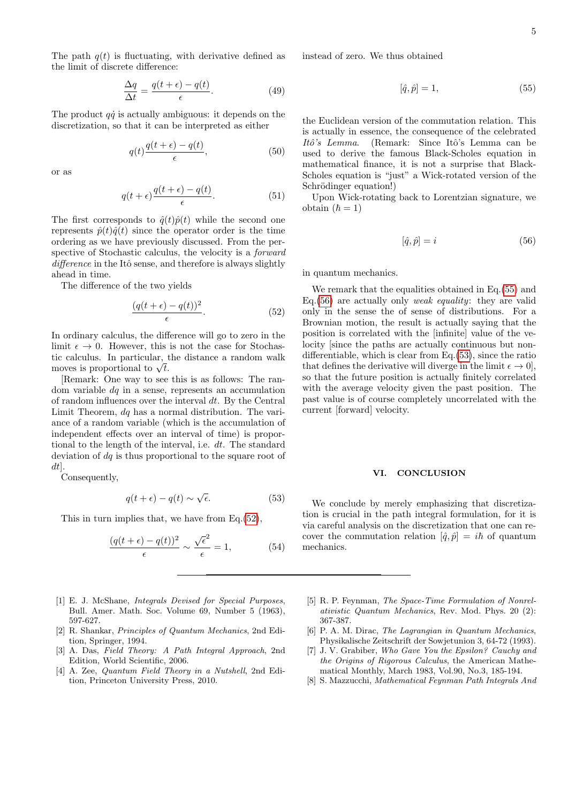The path  $q(t)$  is fluctuating, with derivative defined as the limit of discrete difference:

$$
\frac{\Delta q}{\Delta t} = \frac{q(t+\epsilon) - q(t)}{\epsilon}.
$$
\n(49)

The product  $q\dot{q}$  is actually ambiguous: it depends on the discretization, so that it can be interpreted as either

$$
q(t)\frac{q(t+\epsilon) - q(t)}{\epsilon},\tag{50}
$$

or as

$$
q(t+\epsilon)\frac{q(t+\epsilon)-q(t)}{\epsilon}.\tag{51}
$$

The first corresponds to  $\hat{q}(t)\hat{p}(t)$  while the second one represents  $\hat{p}(t)\hat{q}(t)$  since the operator order is the time ordering as we have previously discussed. From the perspective of Stochastic calculus, the velocity is a forward difference in the Itô sense, and therefore is always slightly ahead in time.

The difference of the two yields

<span id="page-4-8"></span>
$$
\frac{(q(t+\epsilon)-q(t))^2}{\epsilon}.\tag{52}
$$

In ordinary calculus, the difference will go to zero in the limit  $\epsilon \to 0$ . However, this is not the case for Stochastic calculus. In particular, the distance a random walk tic calculus. In particular, the moves is proportional to  $\sqrt{t}$ .

[Remark: One way to see this is as follows: The random variable  $dq$  in a sense, represents an accumulation of random influences over the interval  $dt$ . By the Central Limit Theorem, dq has a normal distribution. The variance of a random variable (which is the accumulation of independent effects over an interval of time) is proportional to the length of the interval, i.e. dt. The standard deviation of  $dq$  is thus proportional to the square root of dt].

Consequently,

<span id="page-4-11"></span>
$$
q(t+\epsilon) - q(t) \sim \sqrt{\epsilon}.\tag{53}
$$

This in turn implies that, we have from Eq.[\(52\)](#page-4-8),

$$
\frac{(q(t+\epsilon)-q(t))^2}{\epsilon} \sim \frac{\sqrt{\epsilon}^2}{\epsilon} = 1, \tag{54}
$$

- <span id="page-4-0"></span>[1] E. J. McShane, Integrals Devised for Special Purposes, Bull. Amer. Math. Soc. Volume 69, Number 5 (1963), 597-627.
- <span id="page-4-1"></span>[2] R. Shankar, Principles of Quantum Mechanics, 2nd Edition, Springer, 1994.
- <span id="page-4-2"></span>[3] A. Das, Field Theory: A Path Integral Approach, 2nd Edition, World Scientific, 2006.
- <span id="page-4-3"></span>[4] A. Zee, Quantum Field Theory in a Nutshell, 2nd Edition, Princeton University Press, 2010.

instead of zero. We thus obtained

<span id="page-4-9"></span>
$$
[\hat{q}, \hat{p}] = 1,\tag{55}
$$

the Euclidean version of the commutation relation. This is actually in essence, the consequence of the celebrated Itô's Lemma. (Remark: Since Itô's Lemma can be used to derive the famous Black-Scholes equation in mathematical finance, it is not a surprise that Black-Scholes equation is "just" a Wick-rotated version of the Schrödinger equation!)

Upon Wick-rotating back to Lorentzian signature, we obtain  $(\hbar = 1)$ 

<span id="page-4-10"></span>
$$
[\hat{q}, \hat{p}] = i \tag{56}
$$

in quantum mechanics.

We remark that the equalities obtained in Eq.[\(55\)](#page-4-9) and Eq.  $(56)$  are actually only *weak equality*: they are valid only in the sense the of sense of distributions. For a Brownian motion, the result is actually saying that the position is correlated with the [infinite] value of the velocity [since the paths are actually continuous but nondifferentiable, which is clear from Eq.[\(53\)](#page-4-11), since the ratio that defines the derivative will diverge in the limit  $\epsilon \to 0$ , so that the future position is actually finitely correlated with the average velocity given the past position. The past value is of course completely uncorrelated with the current [forward] velocity.

#### VI. CONCLUSION

We conclude by merely emphasizing that discretization is crucial in the path integral formulation, for it is via careful analysis on the discretization that one can recover the commutation relation  $[\hat{q}, \hat{p}] = i\hbar$  of quantum mechanics.

- <span id="page-4-4"></span>[5] R. P. Feynman, The Space-Time Formulation of Nonrelativistic Quantum Mechanics, Rev. Mod. Phys. 20 (2): 367-387.
- <span id="page-4-5"></span>[6] P. A. M. Dirac, The Lagrangian in Quantum Mechanics, Physikalische Zeitschrift der Sowjetunion 3, 64-72 (1993).
- <span id="page-4-7"></span>[7] J. V. Grabiber, Who Gave You the Epsilon? Cauchy and the Origins of Rigorous Calculus, the American Mathematical Monthly, March 1983, Vol.90, No.3, 185-194.
- <span id="page-4-6"></span>[8] S. Mazzucchi, Mathematical Feynman Path Integrals And